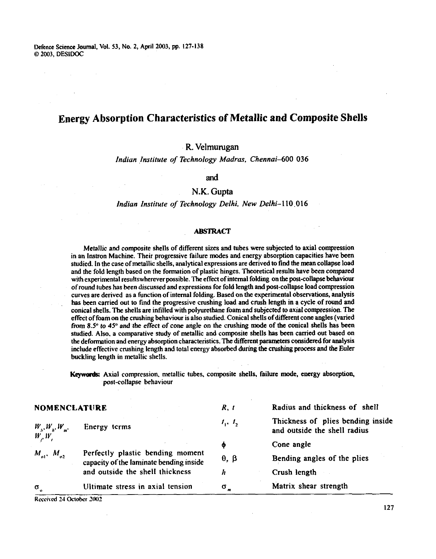Defence Science Journal, Vol. 53, No. 2, April 2003, pp. 127-138 0 2003. DESIDOC

# **Energy Absorption Characteristics of Metallic and Composite Shells**

## **R. Velmurugan**

Indiun Institute of Technology Madras, Chennai-600 036

and

## N.K. **Gupta**

#### Indian Institute of Technology Delhi, New Delhi-110.016

#### **ABSTRACT**

Metallic and composite shells of different sizes and tubes were subjected to axial compression in an lnstron Machine. Their progressive failure modes and energy absorption capacities have been studied. In the case of metallic shells, analytical expressions are derived to find the mean collapse load and the fold length based on the formation of plastic hinges. Theoretical results have been compared with experimental resultswherever possible. The effect of internal folding on the past-collapse behaviour of round lubes has been discussed and expressions for fold length and post-collapse load compression curves are derived as a function of internal folding. Based on the experimental observations, analysis has been carried out to find the progressive crushing load and crush length in a cycle of round and conical shells. The shells are infilled with polyurethane foam and subjected to axial compression. The effect of foam on the crushing behaviour is also studied. Conical shells of different cone angles (varied from 8.5" to 45" and the effect of cone angle on the crushing mode of the conical shells has been studied. Ako. a comparative study of metallic and composite shells has been carried out based on the defomtion and energy absorption characteristics. **l'he** different parameters considered for analysis include effective crushing length and total energy absorbed during **the** crushing process and the Euler buckling length in metallic shells.

Keywords: Axial compression, metallic tubes, composite shells, failure mode, energy absorption, post-collapse behaviour

|                             | <b>NOMENCLATURE</b>                                                         |                    | Radius and thickness of shell                                     |  |  |
|-----------------------------|-----------------------------------------------------------------------------|--------------------|-------------------------------------------------------------------|--|--|
| $W_{\mu}, W_{\mu}, W_{\mu}$ | Energy terms                                                                | $I_1, I_2$         | Thickness of plies bending inside<br>and outside the shell radius |  |  |
| $W_{\rho}W_{\rho}$          |                                                                             | Ф                  | Cone angle                                                        |  |  |
| $M_{\rm pl}$ , $M_{\rm pl}$ | Perfectly plastic bending moment<br>capacity of the laminate bending inside | $\theta$ , $\beta$ | Bending angles of the plies                                       |  |  |
|                             | and outside the shell thickness                                             | h                  | Crush length                                                      |  |  |
| $\sigma$                    | Ultimate stress in axial tension                                            | $\sigma_{\rm m}$   | Matrix shear strength                                             |  |  |

**R~ri\cd 24 0ctobc.r** *302*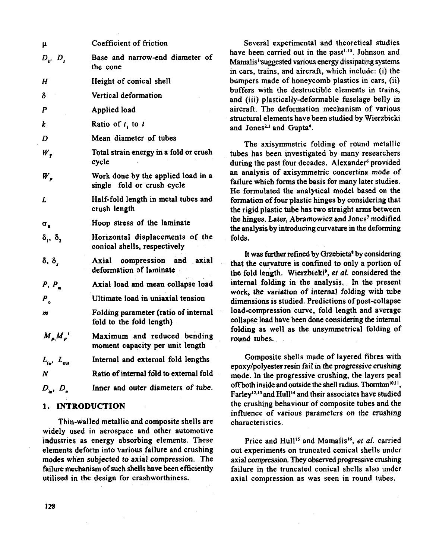| μ                            | Coefficient of friction                                          |
|------------------------------|------------------------------------------------------------------|
| $D_{\nu}$ , $D_{s}$          | Base and narrow-end diameter of<br>the cone                      |
| Н                            | Height of conical shell                                          |
| δ                            | Vertical deformation                                             |
| $\boldsymbol{P}$             | Applied load                                                     |
| k                            | Ratio of t, to t                                                 |
| D                            | Mean diameter of tubes                                           |
| $W_{\tau}$                   | Total strain energy in a fold or crush<br>cycle                  |
| $W_{\rho}$                   | Work done by the applied load in a<br>single fold or crush cycle |
| L                            | Half-fold length in metal tubes and<br>crush length              |
| $\sigma_{\rm e}$             | Hoop stress of the laminate                                      |
| $\delta_1$ , $\delta_2$      | Horizontal displacements of the<br>conical shells, respectively  |
| δ, δ                         | compression and axial<br>Axial<br>deformation of laminate        |
| P, P                         | Axial load and mean collapse load                                |
| $P_{\alpha}$                 | Ultimate load in uniaxial tension                                |
| m                            | Folding parameter (ratio of internal<br>fold to the fold length) |
| $M_{\rho}M_{\rho}$           | Maximum and reduced bending<br>moment capacity per unit length   |
| $L_{\rm in}$ , $L_{\rm out}$ | Internal and external fold lengths                               |
| $\boldsymbol{N}$             | Ratio of internal fold to external fold                          |
| $D_{\rm in}$ , $D_{\rm a}$   | Inner and outer diameters of tube.                               |

## **1. INTRODUCTION**

Thin-walled metallic and composite shells are widely used in aerospace and other automotive industries as energy absorbing elements. These elements deform into various failure and crushing modes when subjected to axial compression. The failure mechanism of such shells have been efficiently utilised in the design for crashworthiness.

Several experimental and theoretical studies have been carried out in the past<sup> $1-15$ </sup>. Johnson and Mamalis' suggested various energy dissipating systems in cars, trains, and aircraft, which include: (i) the bumpers made of honeycomb plastics in cars, (ii) buffers with the destructible elements in trains, and (iii) plastically-deformable fuselage belly in aircraft. The deformation mechanism of various structural elements have been studied by Wierzbicki and Jones<sup>2,3</sup> and Gupta<sup>4</sup>.

The axisymmetric folding of round metallic tubes has been investigated by many researchers during the past four decades. Alexander<sup>6</sup> provided an analysis of axisymmetric concertina mode of failure which forms the basis for many later studies. He formulated the analvtical model based on the formation of four plastic hinges by considering that the rigid plastic tube has two straight arms between the hinges. Later, Abramowicz and Jones' modified the analysis by introducing curvature in the deforming folds.

It was further refined by Grzebieta<sup>8</sup> by considering that the curvature is confined to only a portion of the fold length. Wierzbicki<sup>9</sup>, et al. considered the internal folding in the analysis. In the present work, the variation of internal folding with tube dimensions is studied. Predictions of post-collapse load-compression curve, fold length and average collapse load have been done considering the internal folding as well as the unsymmetrical folding of round tubes.

Composite shells made of layered fibres with epoxy/polyester resin fail in the progressive crushing mode. In the progressive crushing, the layers peal off both inside and outside the shell radius. Thornton<sup>10,11</sup>, Farley<sup>12,13</sup> and Hull<sup>14</sup> and their associates have studied the crushing behaviour of composite tubes and the influence of various parameters on the crushing characteristics.

Price and Hull<sup>15</sup> and Mamalis<sup>16</sup>, et al. carried out experiments on truncated conical shells under axial compression. They observed progressive crushing failure in the truncated conical shells also under axial compression as was seen in round tubes.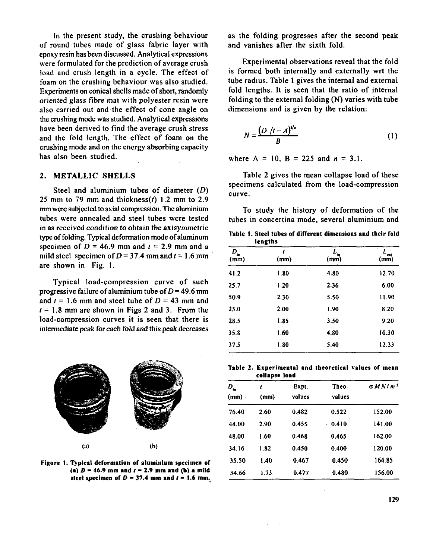In the present study, the crushing behaviour of round tubes made of glass fabric layer with epoxy resin has been discussed. Analytical expressions were formulated for the prediction of average crush load and crush length in a cycle. The effect of foam on the crushing behaviour was also studied. Experiments on conical shells made of short, randomly oriented glass fibre mat with polyester resin were also carried out and the effect of cone angle on the crushing mode was studied. Analytical expressions have been derived to find the average crush stress and the fold length. The effect of foam on the crushing mode and on the energy absorbing capacity bas also been studied.

### **2. METAL1,IC SHELLS**

Steel and aluminium tubes of diameter (D) 25 mm to 79 mm and thickness $(t)$  1.2 mm to 2.9 mm were subjected to axial compression. The aluminium tubes were annealed and steel tubes were tested in as received condition to obtain the axisymmetric type of folding. Typical deformation mode of aluminum specimen of  $D = 46.9$  mm and  $t = 2.9$  mm and a mild steel specimen of  $D = 37.4$  mm and  $t = 1.6$  mm are shown in Fig. I.

Typical load-compression curve of such progressive failure of aluminium tube of  $D = 49.6$  mm and  $t = 1.6$  mm and steel tube of  $D = 43$  mm and  $r = 1.8$  mm are shown in Figs 2 and 3. From the load-compression curves it is seen that there is intermediate peak for each fold and this peak decreases



**Figure I. Typical deformation of aluminium specimen of**   $(a)$   $D = 46.9$  mm and  $t = 2.9$  mm and  $(b)$  a mild steel specimen of  $D = 37.4$  mm and  $t = 1.6$  mm.

as the folding progresses after the second peak and vanishes after the sixth fold.

Experimental observations reveal that the fold is formed both internally and externally wrt the tube radius. Table 1 gives the internal and external fold lengths. It is seen that the ratio of internal folding to the external folding (N) varies with tube dimensions and is given by the relation:

$$
N = \frac{(D / (t - A)^{1/n}}{B}
$$
 (1)

where  $A = 10$ ,  $B = 225$  and  $n = 3.1$ .

Table 2 gives the mean collapse load of these specimens calculated from the load-compression curve.

To study the history of deformation of the tubes in concertina mode, several aluminium and

**Table I. Steel tubes of different dimensions and their fold lengths** 

| $D_{\rm in}$<br>(mm) | ı<br>(mm)    | (mm)  | out<br>(mm) |
|----------------------|--------------|-------|-------------|
| 41.2                 | 1.80         | 4.80  | 12.70       |
| 25.7                 | 1.20         | 2.36  | 6.00        |
| 50.9                 | 2.30         | 5.50  | 11.90       |
| 23.0                 | 2.00         | 1.90. | 8.20        |
| 28.5                 | 1.85         | 3.50  | 9.20        |
| 35.8                 | 1.60<br>4.80 |       | 10.30       |
| 37.5                 | 1.80         | 5.40  | 12.33       |

**Table 2. Experimental and theoretical values of mean**  collapse load

| $D_{\rm in}$<br>(mm) | t<br>(mm) | Expt.<br>values | Theo.<br>values | GMN/m <sup>2</sup> |  |
|----------------------|-----------|-----------------|-----------------|--------------------|--|
| 76.40                | 2.60      | 0.482           | 0.522           | 152.00             |  |
| 44.00                | 2.90      | 0.455           | 0.410<br>¥.     | 141.00             |  |
| 48.00                | 1.60      | 0.468           | 0.465           | 162.00             |  |
| 34.16                | 1.82      | 0.450           | 0.400           | 120.00             |  |
| 35.50                | 1.40      | 0.467           | 0.450           | 164.85             |  |
| 34.66                | 1.73      | 0.477           | 0.480           | 156.00             |  |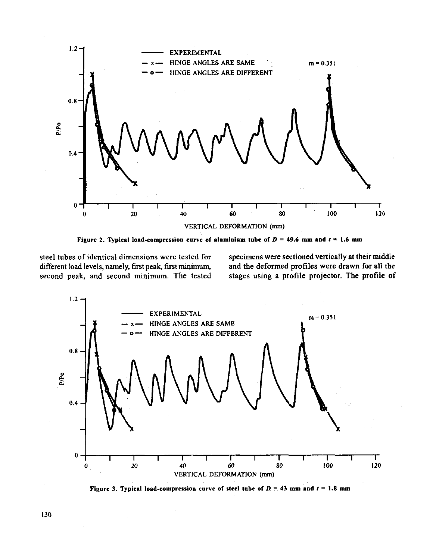

Figure 2. Typical load-compression curve of aluminium tube of  $D = 49.6$  mm and  $t = 1.6$  mm

different load levels, namely, first peak, first minimum,

steel tubes of identical dimensions were tested for specimens were sectioned vertically at their middie different load levels, namely, first peak, first minimum, and the deformed profiles were drawn for all the **second peak, and second minimum. The tested stages using a profile projector. The profile of** 



**Figure 3. Typical load-compression curve of steel tube of**  $D = 43$  **mm and**  $t = 1.8$  **mm**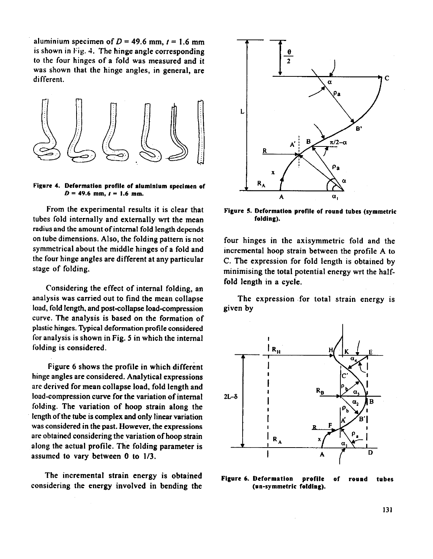aluminium specimen of  $D = 49.6$  mm,  $t = 1.6$  mm is shown in Fig. 4. The hinge angle corresponding to the four hinges of a fold was measured and it was shown that the hinge angles, in general, are different.



Figure 4. Deformation profile of aluminium specimen of  $D = 49.6$  mm,  $t = 1.6$  mm.

From the experimental results it is clear that tubes fold internally and externally wrt the mean radius and the amount of internal fold length depends on tube dimensions. Also, the folding pattern is not symmetrical about the middle hinges of a fold and the four hinge angles are different at any particular stage of folding.

Considering the effect of internal folding, an analysis was carried out to find the mean collapse load, fold length, and post-collapse load-compression curve. The analysis is based on the formation of plastic hinges. Typical deformation profile considered for analysis is shown in Fig. 5 in which the internal folding is considered.

Figure 6 shows the profile in which different hinge angles are considered. Analytical expressions are derived for mean collapse load, fold length and load-compression curve for the variation of internal folding. The variation of hoop strain along the length of the tube is complex and only linear variation was considered in the past. However, the expressions are obtained considering the variation of hoop strain along the actual profile. The folding parameter is assumed to vary between 0 to 1/3.

The incremental strain energy is obtained considering the energy involved in bending the



Figure 5. Deformation profile of round tubes (symmetric folding).

four hinges in the axisymmetric fold and the incremental hoop strain between the profile A to C. The expression for fold length is obtained by minimising the total potential energy wrt the halffold length in a cycle.

The expression for total strain energy is given by



Figure 6. Deformation profile of round tubes (un-symmetric folding).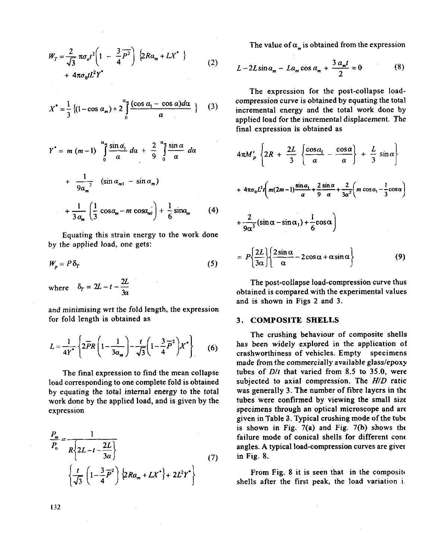$$
W_T = \frac{2}{\sqrt{3}} \pi \sigma_o t^2 \left( 1 - \frac{3}{4} \overline{P^2} \right) \left\{ 2R \alpha_m + LX^* \right\}
$$
  
+  $4 \pi \sigma_0 t L^2 Y^*$  (2)

$$
X^* = \frac{1}{3} \left\{ (1 - \cos \alpha_m) + 2 \int_0^{\alpha_m} \frac{(\cos \alpha_1 - \cos \alpha) d\alpha}{\alpha} \right\} \tag{3}
$$

$$
Y^* = m (m-1) \int_0^{\alpha} \frac{\sin \alpha_1}{\alpha} d\alpha + \frac{2}{9} \int_0^{\alpha} \frac{\sin \alpha}{\alpha} d\alpha
$$
  
+ 
$$
\frac{1}{9\alpha_m^2} (\sin \alpha_{m1} - \sin \alpha_m)
$$
  
+ 
$$
\frac{1}{3\alpha_m} \left( \frac{1}{3} \cos \alpha_m - m \cos \alpha_m \right) + \frac{1}{6} \sin \alpha_m
$$
 (4)

Equating this strain energy to the work done by the applied load, one gets:

$$
W_p = P \, \delta_T \tag{5}
$$

where  $\delta_T = 2L - t - \frac{2L}{3a}$ 

and minimising wrt the fold length, the expression for fold length is obtained as

$$
L = \frac{1}{4Y^*} \left\{ 2\overline{PR} \left( 1 - \frac{1}{3a_m} \right) - \frac{t}{\sqrt{3}} \left( 1 - \frac{3}{4} \overline{P}^2 \right) X^* \right\} \tag{6}
$$

The final expression to find the mean collapse load corresponding to one complete fold is obtained by equating the total internal energy to the total work done by the applied load, and is given by the expression

$$
\frac{P_m}{P_o} = \frac{1}{R\left\{2L - t - \frac{2L}{3a}\right\}}
$$
\n
$$
\left\{\frac{t}{\sqrt{3}}\left(1 - \frac{3}{4}\overline{P}^2\right)\left\{2Ra_m + LX^*\right\} + 2L^2Y^*\right\}
$$
\n(7)

The value of  $\alpha_{\mu}$  is obtained from the expression

$$
L - 2L\sin\alpha_m - L\alpha_m\cos\alpha_m + \frac{3\alpha_m t}{2} = 0
$$
 (8)

The expression for the post-collapse loadcompression curve is obtained by equating the total incremental energy and the total work done by applied load for the incremental displacement. The final expression is obtained as

$$
4\pi M_p' \left\{ 2R + \frac{2L}{3} \left\{ \frac{\cos \alpha_i}{a} - \frac{\cos \alpha}{a} \right\} + \frac{L}{3} \sin \alpha \right\}
$$
  
+ 
$$
4\pi \sigma_0 L^2 t \left( m(2m-1) \frac{\sin \alpha_1}{a} + \frac{2 \sin \alpha}{9} + \frac{2}{3\alpha^2} \left( m \cos \alpha_1 - \frac{1}{3} \cos \alpha \right) + \frac{2}{9\alpha^3} (\sin \alpha - \sin \alpha_1) + \frac{1}{6} \cos \alpha \right)
$$
  
= 
$$
P \left\{ \frac{2L}{3\alpha} \left\{ \frac{2 \sin \alpha}{\alpha} - 2 \cos \alpha + \alpha \sin \alpha \right\} \right\}
$$
(9)

The post-collapse load-compression curve thus obtained is compared with the experimental values and is shown in Figs 2 and 3.

#### 3. COMPOSITE SHELLS

The crushing behaviour of composite shells has been widely explored in the application of crashworthiness of vehicles. Empty specimens made from the commercially available glass/epoxy tubes of  $D/t$  that varied from 8.5 to 35.0, were subjected to axial compression. The H/D ratic was generally 3. The number of fibre layers in the tubes were confirmed by viewing the small size specimens through an optical microscope and are given in Table 3. Typical crushing mode of the tube is shown in Fig. 7(a) and Fig. 7(b) shows the failure mode of conical shells for different cone angles. A typical load-compression curves are giver in Fig. 8.

From Fig. 8 it is seen that in the composite shells after the first peak, the load variation i.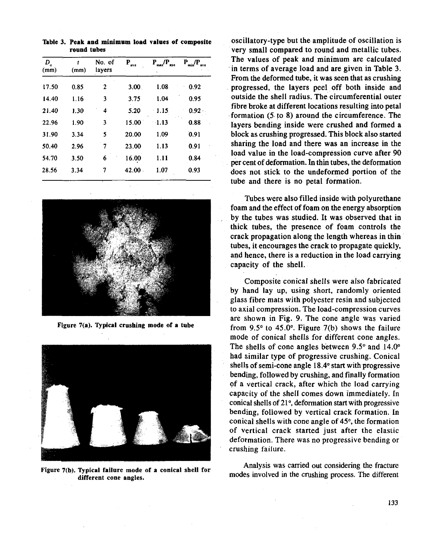**Table 3. Peak and minimum load values of composite round tubes** 

| $D_{\rm o}$<br>(mm) | (mm) | No. of<br>lavers | $\mathbf{P}_{\text{ave}}$ | /P<br>Р.<br>aye<br>用点式 | $P$ /P<br>ave |
|---------------------|------|------------------|---------------------------|------------------------|---------------|
| 17.50               | 0.85 | 2                | 3.00.                     | 1.08                   | 0.92          |
| 14.40               | 1.16 | 3                | 3.75                      | 1.04                   | 0.95          |
| 21.40               | 1.30 | 4                | 5.20                      | 1.15                   | $0.92 -$      |
| 22.96               | 1.90 | 3                | 15.00                     | $-1.13$                | 0.88          |
| 31.90               | 3.34 | 5                | 20.00                     | 1.09                   | 0.91          |
| 50.40               | 2.96 | 7                | 23.00                     | 1.13                   | 0.91          |
| 54.70               | 3.50 | 6                | 16.00                     | 1.11                   | 0.84          |
| 28.56               | 3.34 | 7                | 42.00.                    | 1.07                   | 0.93          |



**Figure 7(a). Typical crushing mode of a tube** 



**Figure 7(b). Typical failure mode of a conical shell for different cone angles.** 

oscillatory-type but the amplitude of oscillation is very small compared to round and metallic tubes. The values of peak and minimum are calculated in terms of average load and are given in Table 3. From the deformed tube, it was seen that as crushing progressed, the layers peel off both inside and outside the shell radius. The circumferential outer fibre broke at different locations resulting into petal formation (5 to **8)** around the circumference. The layers bending inside were crushed and formed a block as crushing progressed. This block also started sharing the load and there was an increase in the load value in the load-compression curve after 90 per cent of deformation. In thin tubes, the deformation does not stick to the undeformed portion of the tube and there is no petal formation.

Tubes were also filled inside with polyurethane foam and the effect of foam on the energy absorption by the tubes was studied. It was observed that in thick tubes, the presence of foam controls the crack propagation along the length whereas in thin tubes, it encourages the crack to propagate quickly, and hence, there is a reduction in the load carrying capacity of the shell.

Composite conical shells were also fabricated by hand lay up, using short, randomly oriented glass fibre mats with polyester resin and subjected to axial compression. The load-compression curves are shown in Fig. 9. The cone angle was varied from 9.5 $\degree$  to 45.0 $\degree$ . Figure 7(b) shows the failure mode of conical shells for different cone angles. The shells of cone angles between  $9.5^{\circ}$  and  $14.0^{\circ}$ had similar type of progressive crushing. Conical shells of semi-cone angle **18.4"** start with progressive bending, followed by crushing, and finally formation of a vertical crack, after which the load carrying capacity of the shell comes down immediately. In conical shells of **21°,** deformation start with progressive bending, followed by vertical crack formation. In conical shells with cone angle of **45".** the formation of vertical crack started just after the elastic deformation. There was no progressive bending or crushing failure.

Analysis was carried out considering the fracture modes involved in the crushing process. The different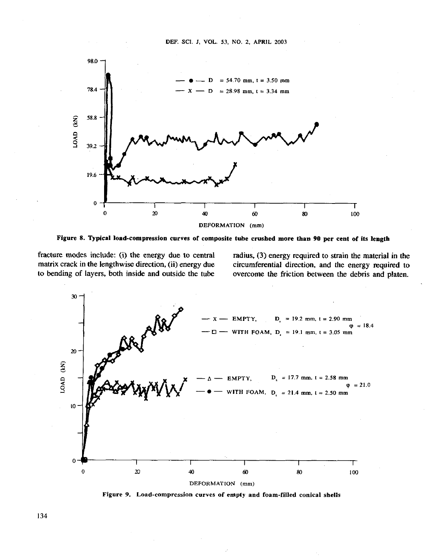



**Figure 8. Typical load-compression curves of composite tube crushed more than 90 per cent of its length** 

fracture modes include: (i) the energy due to central radius, (3) energy required to strain the material in the matrix crack in the lengthwise direction, (ii) energy due circumferential direction, and the energy required t circumferential direction, and the energy required to to bending of layers, both inside and outside the tube overcome the friction between the debris and platen.



**Figure 9. Load-compression curves of empty and foam-filled conical shells**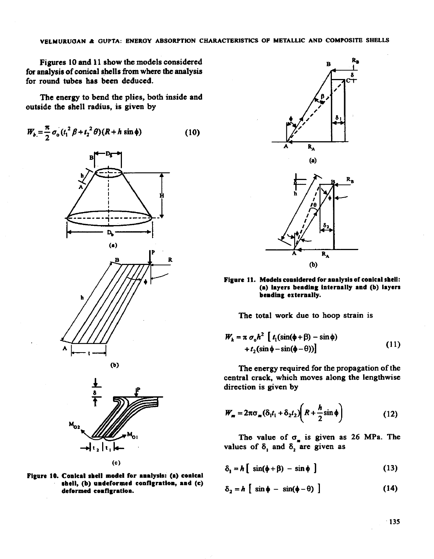Figures 10 and 11 show the models considered for analysis of conical shells from where the analysis for round tubes has been deduced.

The energy to bend the plies, both inside and outside the shell radius, is given by

$$
W_b = \frac{\pi}{2} \sigma_o (t_1^2 \beta + t_2^2 \theta) (R + h \sin \phi)
$$
 (10)











Figure 11. Models considered for analysis of conical shell: **(a) Iayera bcndlng internally and (b) layers bendlng externally.** 

The total work due to hoop strain is

$$
W_h = \pi \sigma_0 h^2 \left[ t_1(\sin(\phi + \beta) - \sin \phi) + t_2(\sin \phi - \sin(\phi - \theta)) \right]
$$
 (11)

The energy required for the propagation of the central crack, which moves along the lengthwise direction is given by

$$
W_m = 2\pi\sigma_m(\delta_1t_1 + \delta_2t_2)\left(R + \frac{h}{2}\sin\phi\right)
$$
 (12)

The value of  $\sigma_m$  is given as 26 MPa. The values of  $\delta_1$  and  $\delta_2$  are given as

$$
\delta_1 = h \left[ \sin(\phi + \beta) - \sin \phi \right] \tag{13}
$$

$$
\delta_2 = h \left[ \sin \phi - \sin(\phi - \theta) \right] \tag{14}
$$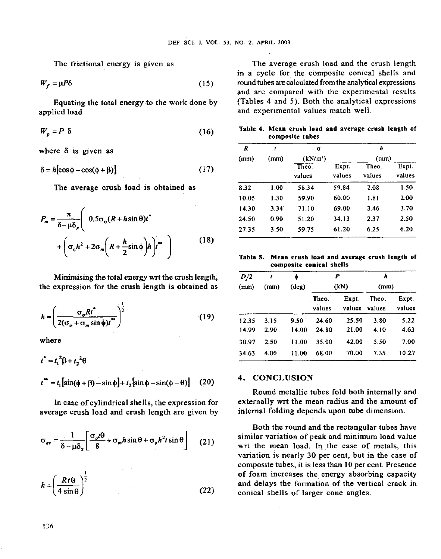$$
W_f = \mu P \delta \tag{15}
$$

Equating the total energy to the work done by applied load

$$
W_p = P \delta \tag{16}
$$

$$
\delta = h[\cos\phi - \cos(\phi + \beta)] \tag{17}
$$

$$
P_m = \frac{\pi}{\delta - \mu \delta_x} \left( 0.5 \sigma_o (R + h \sin \theta) t^* + \left( \sigma_o h^2 + 2 \sigma_m \left( R + \frac{h}{2} \sin \phi \right) h \right) t^* \right)
$$
 (18)

Minimising the total energy wrt the crush length, the expression for the crush length is obtained as

$$
h = \left(\frac{\sigma_o R t^*}{2(\sigma_o + \sigma_m \sin \phi) t^*}\right)^{\frac{1}{2}}
$$
(19)

where

$$
t^* = t_1^2 \beta + t_2^2 \theta
$$
  

$$
t^* = t_1 [\sin(\phi + \beta) - \sin \phi] + t_2 [\sin \phi - \sin(\phi - \theta)] \quad (20)
$$

average erush load and crush length are given by

$$
\sigma_{av} = \frac{1}{\delta - \mu \delta_x} \left[ \frac{\sigma_o t \theta}{8} + \sigma_m h \sin \theta + \sigma_o h^2 t \sin \theta \right]
$$
 (21)

$$
h = \left(\frac{Rt\Theta}{4\sin\Theta}\right)^{\frac{1}{2}}
$$
 (22)

The frictional energy is given as The average crush load and the crush length in a cycle for the composite conical shells and round tubes are calculated from the analytical expressions and are compared with the experimental results (Tables  $4$  and  $5$ ). Both the analytical expressions and experimental values match well.

| (16) |                 | Table 4. Mean crush load and average crush length of |  |  |
|------|-----------------|------------------------------------------------------|--|--|
|      | composite tubes |                                                      |  |  |

| where $\delta$ is given as                                                                    |      | R     | (mm) | σ<br>(kN/m <sup>2</sup> ) |                 | h<br>(mm)       |                 |
|-----------------------------------------------------------------------------------------------|------|-------|------|---------------------------|-----------------|-----------------|-----------------|
|                                                                                               |      | (mm)  |      |                           |                 |                 |                 |
| $\delta = h[\cos \phi - \cos(\phi + \beta)]$                                                  | (17) |       |      | Theo.<br>values           | Expt.<br>values | Theo.<br>values | Expt.<br>values |
| The average crush load is obtained as                                                         |      | 8.32  | 1.00 | 58.34                     | 59.84           | 2.08            | 1.50            |
|                                                                                               |      | 10.05 | 1.30 | 59.90                     | 60.00           | 1.81            | 2.00            |
|                                                                                               |      | 14.30 | 3.34 | 71.10                     | 69.00           | 3.46            | 3.70            |
| $P_m = \frac{\pi}{\delta - \mu \delta_x} \left( 0.5 \sigma_o (R + h \sin \theta) t^* \right)$ |      | 24.50 | 0.90 | 51.20                     | 34.13           | 2.37            | 2.50            |
|                                                                                               |      | 27.35 | 3.50 | 59.75                     | 61.20           | 6.25            | 6.20            |
| the company's company's company's                                                             |      |       |      |                           |                 |                 |                 |

#### Table 5. Mean crush load and average crush length of composite conical shells

| ength,<br>ed as | D/2<br>t<br>(mm)<br>(mm) |      | ø<br>$(\text{deg})$ |                 | P<br>(kN)       |                 | (mm)            |  |
|-----------------|--------------------------|------|---------------------|-----------------|-----------------|-----------------|-----------------|--|
|                 |                          |      |                     | Theo.<br>values | Expt.<br>values | Theo.<br>values | Expt.<br>values |  |
| (19)            | 12.35                    | 3.15 | 9.50                | 24.60           | 25.50           | 3.80            | 5.22            |  |
|                 | 14.99                    | 2.90 | 14.00               | 24.80           | 21.00           | 4.10            | 4.63            |  |
|                 | 30.97                    | 2.50 | 11.00               | 35.00           | 42.00           | 5.50            | 7.00            |  |
|                 | 34.63                    | 4.00 | 11.00               | 68.00           | 70.00           | 7.35            | 10.27           |  |
|                 |                          |      |                     |                 |                 |                 |                 |  |

#### 4. CONCLUSION

Round metallic tubes fold both internally and In case of cylindrical shells, the expression for externally wrt the mean radius and the amount of rage erush load and crush length are given by internal folding depends upon tube dimension.

> Both the round and the rectangular tubes have **<sup>1</sup>**(21) similar variation of peak and minimum load value wrt the mean load. In the case of metals, this variation is nearly 30 per cent, but in the case of composite tubes, it is less than 10 per cent. Presence of foam increases the energy absorbing capacity and delays the formation of the vertical crack in conical shells of larger cone angles.

136